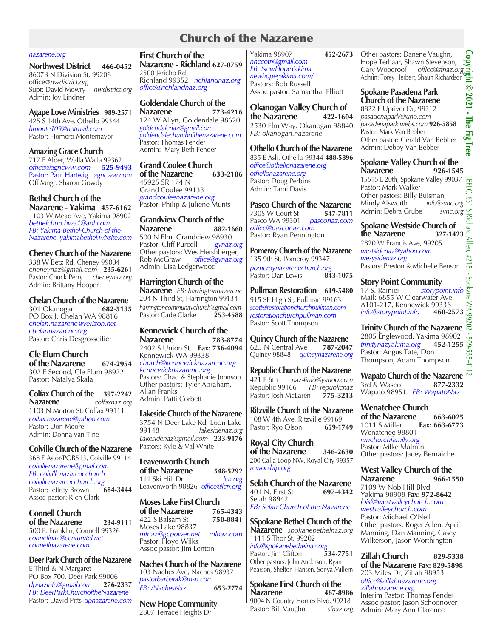# Church of the Nazarene

#### *nazarene.org*

**Northwest District 466-0452** 8607B N Division St, 99208 office@*nwdistrict.org* Supt: David Mowry *nwdistrict.org* Admin: Joy Lindner

**Agape Love Ministries 989-2571** 425 S 14th Ave, Othello 99344 *hmonte109@hotmail.com* Pastor: Homero Montemayor

**Amazing Grace Church** 717 E Alder, Walla Walla 99362 *office@agncww.com*  **525-9493** Pastor: Paul Hartwig *agncww.com* Off Mngr: Sharon Gowdy

**Bethel Church of the Nazarene - Yakima 457-6162** 1103 W Mead Ave, Yakima 98902 *bethelchurchwa1@aol.com FB: Yakima-Bethel-Church-of-the-Nazarene yakimabethel.wixsite.com*

**Cheney Church of the Nazarene** 338 W Betz Rd, Cheney 99004 *cheneynaz@gmail.com*  **235-6261** Pastor: Chuck Perry *cheneynaz.org* Admin: Brittany Hooper

**Chelan Church of the Nazarene**<br>301 Okanogan<br>682-5135 301 Okanogan PO Box J, Chelan WA 98816 *chelan.nazarene@verizon.net chelannazarene.org* Pastor: Chris Desgrosseilier

**Cle Elum Church of the Nazarene 674-2954** 302 E Second, Cle Elum 98922

Pastor: Natalya Skala

**Colfax Church of the 397-2242<br>Nazarene** *Colfaxnaz org* **Nazarene** *colfaxnaz.org* 1103 N Morton St*,* Colfax 99111 *colfax.nazarene@yahoo.com* Pastor: Don Moore Admin: Donna van Tine

**Colville Church of the Nazarene**  368 E Astor/POB513, Colville 99114 *colvillenazarene@gmail.com FB: colvillenazarenechurch colvillenazarenechurch.org* Pastor: Jeffrey Brown Assoc pastor: Rich Clark

**Connell Church of the Nazarene 234-9111** 500 E. Franklin, Connell 99326 *connellnaz@centurytel.net connellnazarene.com*

**Deer Park Church of the Nazarene** E Third & N Margaret PO Box 700, Deer Park 99006<br>dpnazinfo@gmail.com 276-2337 *dpnazinfo@gmail.com* **276-2337** *FB: DeerParkChurchoftheNazarene* Pastor: David Pitts *dpnazarene.com*

**First Church of the Nazarene - Richland 627-0759** 2500 Jericho Rd Richland 99352 *richlandnaz.org office@richlandnaz.org*

**Goldendale Church of the Nazarene 773-4216** 124 W Allyn, Goldendale 98620 *goldendalenaz@gmail.com goldendalechurchofthenazarene.com* **Pastor: Thomas Fender** Admin: Mary Beth Fender

**Grand Coulee Church of the Nazarene 633-2186** 45925 SR 174 N Grand Coulee 99133 *grandcouleenazarene.org* Pastor: Philip & Juliene Munts

**Grandview Church of the Nazarene 882-1660** 500 N Elm, Grandview 98930<br>Pastor: Cliff Purcell gynaz.org Pastor: Cliff Purcell Other pastors: Wes Hershberger,<br>Rob McGraw office@gynaz.org office@gvnaz.org Admin: Lisa Ledgerwood

## **Harrington Church of the**

**Nazarene** *FB: harringtonnazarene* 204 N Third St, Harrington 99134 *harringtoncommunitychurch@gmail.com*  Pastor: Cade Clarke

**Kennewick Church of the Nazarene 783-8774** 2402 S Union St **Fax: 736-4094** Kennewick WA 99338 *church@kennewicknazarene.org kennewicknazarene.org* Pastors: Chad & Stephanie Johnson Other pastors: Tyler Abraham, Allan Franks Admin: Patti Corbett

**Lakeside Church of the Nazarene** 3754 N Deer Lake Rd, Loon Lake<br>99148 lakesidenaz.org 99148 *lakesidenaz.org Lakesidenaz@gmail.com* **233-9176** Pastors: Kyle & Val White

**Leavenworth Church of the Nazarene 548-5292** 111 Ski Hill Dr *lcn.org* Leavenworth 98826 *office@lcn.org*

**Moses Lake First Church of the Nazarene 765-4343**<br>422 S Balsam St **750-8841** 422 S Balsam St Moses Lake 98837 *mlnaz@gcpower.net mlnaz.com* Pastor: Floyd Wilks Assoc pastor: Jim Lenton

**Naches Church of the Nazarene** 103 Naches Ave, Naches 98937 *pastorbarbarak@msn.com FB: /NachesNaz*  **653-2774**

**New Hope Community**  2807 Terrace Heights Dr

Yakima 98907 **452-2673** *nhccotn@gmail.com FB: NewHopeYakima newhopeyakima.com/* Pastors: Bob Russell Assoc pastor: Samantha Elliott

**Okanogan Valley Church of the Nazarene 422-1604** 2530 Elm Way, Okanogan 98840 *FB: okanogan.nazarene*

**Othello Church of the Nazarene** 835 E Ash, Othello 99344 **488-5896** *office@othellonazarene.org othellonazarene.org*  Pastor: Doug Perbins Admin: Tami Davis

**Pasco Church of the Nazarene**<br>7305 W Court St **547-7811** 7305 W Court St **547-7811**<br>Pasco WA 99301 *pasconaz.com* Pasco WA 99301 *pasconaz.com office@pasconaz.com* Pastor: Ryan Pennington

**Pomeroy Church of the Nazarene** 135 9th St, Pomeroy 99347 *pomeroynazarenechurch.org*<br>Pastor: Dan Lewis **843-1075** Pastor: Dan Lewis **843-1075**

**Pullman Restoration 619-5480** 915 SE High St, Pullman 99163 *scott@restorationchurchpullman.com restorationchurchpullman.com* Pastor: Scott Thompson

**Quincy Church of the Nazarene**<br>625 N Central Ave 787-2047 625 N<sup>'</sup>Central Ave Quincy 98848 *quincynazarene.org*

**Republic Church of the Nazarene** 421 E 6th *naz4info@yahoo.com* Republic 99166 *FB: republicnaz* Pastor: Josh McLaren

**Ritzville Church of the Nazarene** 108 W 4th Ave, Ritzville 99169 Pastor: Ryo Olson **659-1749**

**Royal City Church of the Nazarene 346-2630** 200 Calla Loop NW, Royal City 99357 *rcworship.org*

**Selah Church of the Nazarene**<br>401 N. First St 697-4342 401 N. First St Selah 98942 *FB: Selah Church of the Nazarene* 

**SSpokane Bethel Church of the Nazarene** *spokanebethelnaz.org* 1111 S Thor St, 99202 *info@spokanebethelnaz.org*  Pastor: Jim Clifton

Other pastors: John Anderson, Ryan Pearson, Shelton Hansen, Sonya Millern

**Spokane First Church of the Nazarene** 9004 N Country Homes Blvd, 99218<br>Pastor: Bill Vaughn sfnaz.org Pastor: Bill Vaughn

Other pastors: Danene Vaughn, Hope Terhaar, Shawn Stevenson,<br>Gary Woodroof office@sfnaz.o ene Vaughn,<br>wn Stevenson,<br>*office@sfnaz.org*<br>Fig. Shaun Richardson Admin: Torey Herbert, Shaun Richardson

# **Spokane Pasadena Park Church of the Nazarene**

8822 E Upriver Dr, 99212 *pasadenapark@juno,com pasadenapark.webs.com* **926-5858** Pastor: Mark Van Bebber Other pastor: Gerald Van Bebber Admin: Debby Van Bebber

**Spokane Valley Church of the Nazarene** 15515 E 20th, Spokane Valley 99037 Pastor: Mark Walker

Other pastors: Billy Buisman,<br>Mindy Alsworth *info@svnc.org* Mindy Alsworth *info@svnc.org*  $\cong$  Admin: Debra Grube *svnc.org* Admin: Debra Grube

**Spokane Westside Church of**<br>the Nazarene 327-1423 **the Nazarene 327-1423** 2820 W Francis Ave, 99205 *westsidenaz@yahoo.com wesysidenaz.org* Pastors: Preston & Michelle Benson

**Story Point Community**<br>17 S. Rainier *storypo.* **munity**<br>storypoint.info<br>inwater Ave. Mail: 6855 W Clearwater Ave. A101-217, Kennewick 99336<br>*info@storypoint.info* 4**60-2573** *info@storypoint.info* **460-2573**

**Trinity Church of the Nazarene**  2805 Énglewood, Yakima 98902<br>*trinitynazyakima.org* **452-1255** 509-535 *trinitynazyakima.org*  **452-1255** Pastor: Angus Tate, Don Thompson, Adam Thompson **K** 

**Wapato Church of the Nazarene** 3rd & Wasco **877-2332** Wapato 98951 *FB: WapatoNaz*

**Wenatchee Church of the Nazarene 663-6025**<br>1011 S Miller **Fax: 663-6773** Fax: 663-6773 Wenatchee 98801 *wnchurchfamily.org* Pastor: MIke Malmin Other pastors: Jacey Bernaiche

**West Valley Church of the Nazarene 966-1550** 7109 W Nob Hill Blvd Yakima 98908 **Fax: 972-8642** *loisf@westvalleychurch.com westvalleychurch.com* Pastor: Michael O'Neil Other pastors: Roger Allen, April Manning, Dan Manning, Casey Wilkerson, Jason Worthington

**Zillah Church 829-5338 of the Nazarene Fax: 829-5898** 203 Miles Dr, Zillah 98953 *office@zillahnazarene.org zillahnazarene.org* Interim Pastor: Thomas Fender Assoc pastor: Jason Schoonover Admin: Mary Ann Clarence